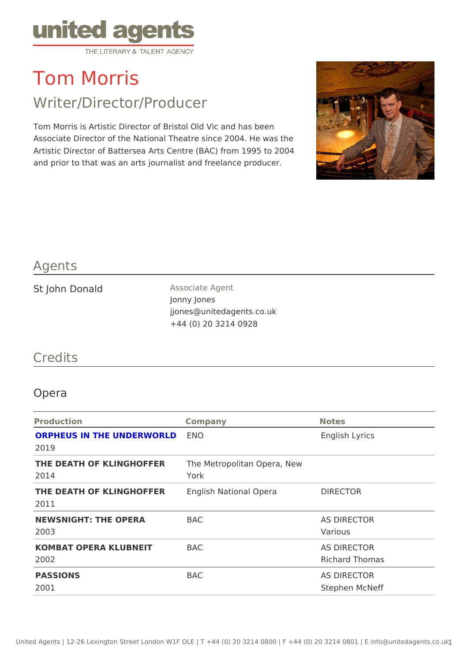# Tom Morris

## Writer/Director/Producer

Tom Morris is Artistic Director of Bristol Old Vic and has been Associate Director of the National Theatre since 2004. He was the Artistic Director of Battersea Arts Centre (BAC) from 1995 to 2004 and prior to that was an arts journalist and freelance producer.

### Agents

| St John Donald | Associate Agent           |
|----------------|---------------------------|
|                | Jonny Jones               |
|                | jjones@unitedagents.co.uk |
|                | +44 (0) 20 3214 0928      |

#### Credits

#### Opera

| Production                                                      | Company | Notes                         |
|-----------------------------------------------------------------|---------|-------------------------------|
| ORPHEUS IN THE UNDERWORDD<br>2019                               |         | English Lyrics                |
| THE DEATH OF KLINGHOFFERE Metropolitan Opera, New<br>2014       | York    |                               |
| THE DEATH OF KLINGHOFFER Rglish National Opera DIRECTOR<br>2011 |         |                               |
| NEWSNIGHT: THE OPERA BAC<br>2003                                |         | AS DIRECTOR<br>Various        |
| KOMBAT OPERA KLUBNEIT BAC<br>2002                               |         | AS DIRECTOR<br>Richard Thomas |
| PASSIONS<br>2001                                                | BAC     | AS DIRECTOR<br>Stephen McNeff |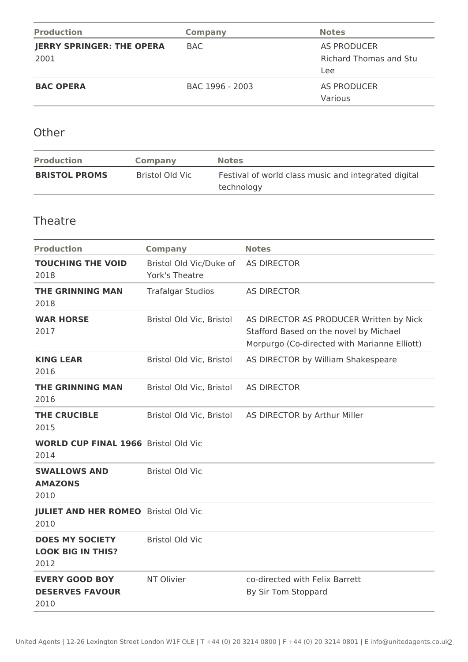| <b>Production</b>                        | <b>Company</b>  | <b>Notes</b>                                        |
|------------------------------------------|-----------------|-----------------------------------------------------|
| <b>JERRY SPRINGER: THE OPERA</b><br>2001 | BAC.            | AS PRODUCER<br><b>Richard Thomas and Stu</b><br>Lee |
| <b>BAC OPERA</b>                         | BAC 1996 - 2003 | AS PRODUCER<br>Various                              |

**Other** 

| <b>Production</b>    | Company         | <b>Notes</b>                                                       |
|----------------------|-----------------|--------------------------------------------------------------------|
| <b>BRISTOL PROMS</b> | Bristol Old Vic | Festival of world class music and integrated digital<br>technology |

#### **Theatre**

| <b>Production</b>                                          | <b>Company</b>                            | <b>Notes</b>                                                                                                                      |
|------------------------------------------------------------|-------------------------------------------|-----------------------------------------------------------------------------------------------------------------------------------|
| <b>TOUCHING THE VOID</b><br>2018                           | Bristol Old Vic/Duke of<br>York's Theatre | <b>AS DIRECTOR</b>                                                                                                                |
| <b>THE GRINNING MAN</b><br>2018                            | <b>Trafalgar Studios</b>                  | <b>AS DIRECTOR</b>                                                                                                                |
| <b>WAR HORSE</b><br>2017                                   | Bristol Old Vic, Bristol                  | AS DIRECTOR AS PRODUCER Written by Nick<br>Stafford Based on the novel by Michael<br>Morpurgo (Co-directed with Marianne Elliott) |
| <b>KING LEAR</b><br>2016                                   | Bristol Old Vic, Bristol                  | AS DIRECTOR by William Shakespeare                                                                                                |
| <b>THE GRINNING MAN</b><br>2016                            | Bristol Old Vic, Bristol                  | <b>AS DIRECTOR</b>                                                                                                                |
| THE CRUCIBLE<br>2015                                       | Bristol Old Vic, Bristol                  | AS DIRECTOR by Arthur Miller                                                                                                      |
| <b>WORLD CUP FINAL 1966</b> Bristol Old Vic<br>2014        |                                           |                                                                                                                                   |
| <b>SWALLOWS AND</b><br><b>AMAZONS</b><br>2010              | <b>Bristol Old Vic</b>                    |                                                                                                                                   |
| <b>JULIET AND HER ROMEO</b> Bristol Old Vic<br>2010        |                                           |                                                                                                                                   |
| <b>DOES MY SOCIETY</b><br><b>LOOK BIG IN THIS?</b><br>2012 | <b>Bristol Old Vic</b>                    |                                                                                                                                   |
| <b>EVERY GOOD BOY</b><br><b>DESERVES FAVOUR</b><br>2010    | NT Olivier                                | co-directed with Felix Barrett<br>By Sir Tom Stoppard                                                                             |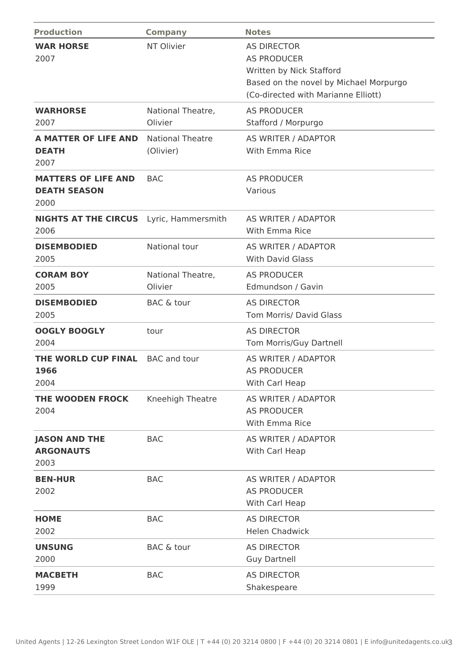| <b>Production</b>                                         | <b>Company</b>                       | <b>Notes</b>                                                                                                                                          |
|-----------------------------------------------------------|--------------------------------------|-------------------------------------------------------------------------------------------------------------------------------------------------------|
| <b>WAR HORSE</b><br>2007                                  | NT Olivier                           | <b>AS DIRECTOR</b><br><b>AS PRODUCER</b><br>Written by Nick Stafford<br>Based on the novel by Michael Morpurgo<br>(Co-directed with Marianne Elliott) |
| <b>WARHORSE</b><br>2007                                   | National Theatre,<br>Olivier         | <b>AS PRODUCER</b><br>Stafford / Morpurgo                                                                                                             |
| <b>A MATTER OF LIFE AND</b><br><b>DEATH</b><br>2007       | <b>National Theatre</b><br>(Olivier) | AS WRITER / ADAPTOR<br>With Emma Rice                                                                                                                 |
| <b>MATTERS OF LIFE AND</b><br><b>DEATH SEASON</b><br>2000 | <b>BAC</b>                           | <b>AS PRODUCER</b><br>Various                                                                                                                         |
| <b>NIGHTS AT THE CIRCUS</b> Lyric, Hammersmith<br>2006    |                                      | AS WRITER / ADAPTOR<br>With Emma Rice                                                                                                                 |
| <b>DISEMBODIED</b><br>2005                                | National tour                        | AS WRITER / ADAPTOR<br><b>With David Glass</b>                                                                                                        |
| <b>CORAM BOY</b><br>2005                                  | National Theatre,<br>Olivier         | <b>AS PRODUCER</b><br>Edmundson / Gavin                                                                                                               |
| <b>DISEMBODIED</b><br>2005                                | <b>BAC &amp; tour</b>                | <b>AS DIRECTOR</b><br>Tom Morris/ David Glass                                                                                                         |
| <b>OOGLY BOOGLY</b><br>2004                               | tour                                 | <b>AS DIRECTOR</b><br>Tom Morris/Guy Dartnell                                                                                                         |
| THE WORLD CUP FINAL<br>1966<br>2004                       | <b>BAC</b> and tour                  | AS WRITER / ADAPTOR<br><b>AS PRODUCER</b><br>With Carl Heap                                                                                           |
| THE WOODEN FROCK<br>2004                                  | Kneehigh Theatre                     | AS WRITER / ADAPTOR<br><b>AS PRODUCER</b><br>With Emma Rice                                                                                           |
| <b>JASON AND THE</b><br><b>ARGONAUTS</b><br>2003          | <b>BAC</b>                           | AS WRITER / ADAPTOR<br>With Carl Heap                                                                                                                 |
| <b>BEN-HUR</b><br>2002                                    | <b>BAC</b>                           | AS WRITER / ADAPTOR<br><b>AS PRODUCER</b><br>With Carl Heap                                                                                           |
| <b>HOME</b><br>2002                                       | <b>BAC</b>                           | <b>AS DIRECTOR</b><br><b>Helen Chadwick</b>                                                                                                           |
| <b>UNSUNG</b><br>2000                                     | <b>BAC &amp; tour</b>                | <b>AS DIRECTOR</b><br><b>Guy Dartnell</b>                                                                                                             |
| <b>MACBETH</b><br>1999                                    | <b>BAC</b>                           | <b>AS DIRECTOR</b><br>Shakespeare                                                                                                                     |